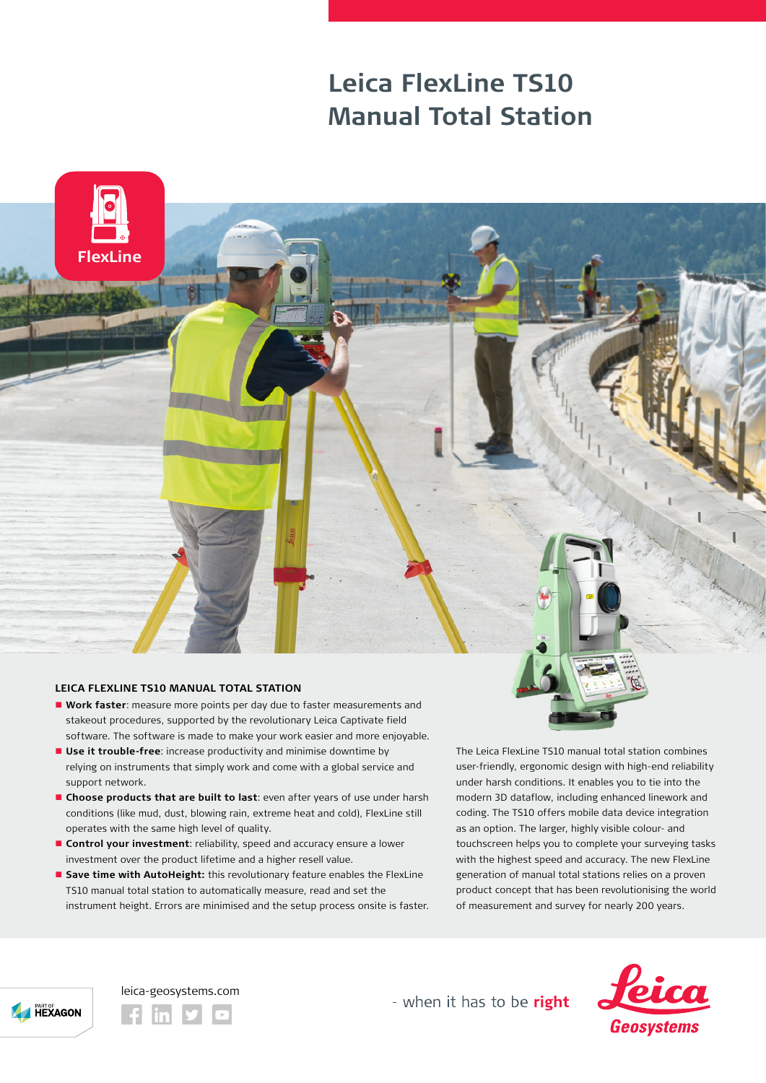## **Leica FlexLine TS10 Manual Total Station**



## **LEICA FLEXLINE TS10 MANUAL TOTAL STATION**

- n **Work faster**: measure more points per day due to faster measurements and stakeout procedures, supported by the revolutionary Leica Captivate field software. The software is made to make your work easier and more enjoyable.
- **Use it trouble-free**: increase productivity and minimise downtime by relying on instruments that simply work and come with a global service and support network.
- n **Choose products that are built to last**: even after years of use under harsh conditions (like mud, dust, blowing rain, extreme heat and cold), FlexLine still operates with the same high level of quality.
- **Control your investment**: reliability, speed and accuracy ensure a lower investment over the product lifetime and a higher resell value.
- **E** Save time with AutoHeight: this revolutionary feature enables the FlexLine TS10 manual total station to automatically measure, read and set the instrument height. Errors are minimised and the setup process onsite is faster.

The Leica FlexLine TS10 manual total station combines user-friendly, ergonomic design with high-end reliability under harsh conditions. It enables you to tie into the modern 3D dataflow, including enhanced linework and coding. The TS10 offers mobile data device integration as an option. The larger, highly visible colour- and touchscreen helps you to complete your surveying tasks with the highest speed and accuracy. The new FlexLine generation of manual total stations relies on a proven product concept that has been revolutionising the world of measurement and survey for nearly 200 years.



leica-geosystems.com

- when it has to be right